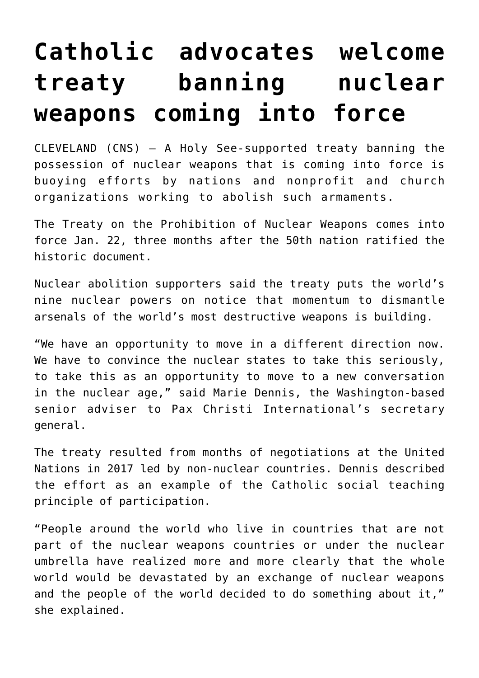## **[Catholic advocates welcome](https://www.osvnews.com/amp/2021/01/15/catholic-advocates-welcome-treaty-banning-nuclear-weapons-coming-into-force/) [treaty banning nuclear](https://www.osvnews.com/amp/2021/01/15/catholic-advocates-welcome-treaty-banning-nuclear-weapons-coming-into-force/) [weapons coming into force](https://www.osvnews.com/amp/2021/01/15/catholic-advocates-welcome-treaty-banning-nuclear-weapons-coming-into-force/)**

CLEVELAND (CNS) — A Holy See-supported treaty banning the possession of nuclear weapons that is coming into force is buoying efforts by nations and nonprofit and church organizations working to abolish such armaments.

The Treaty on the Prohibition of Nuclear Weapons comes into force Jan. 22, three months after the 50th nation ratified the historic document.

Nuclear abolition supporters said the treaty puts the world's nine nuclear powers on notice that momentum to dismantle arsenals of the world's most destructive weapons is building.

"We have an opportunity to move in a different direction now. We have to convince the nuclear states to take this seriously, to take this as an opportunity to move to a new conversation in the nuclear age," said Marie Dennis, the Washington-based senior adviser to Pax Christi International's secretary general.

The treaty resulted from months of negotiations at the United Nations in 2017 led by non-nuclear countries. Dennis described the effort as an example of the Catholic social teaching principle of participation.

"People around the world who live in countries that are not part of the nuclear weapons countries or under the nuclear umbrella have realized more and more clearly that the whole world would be devastated by an exchange of nuclear weapons and the people of the world decided to do something about it," she explained.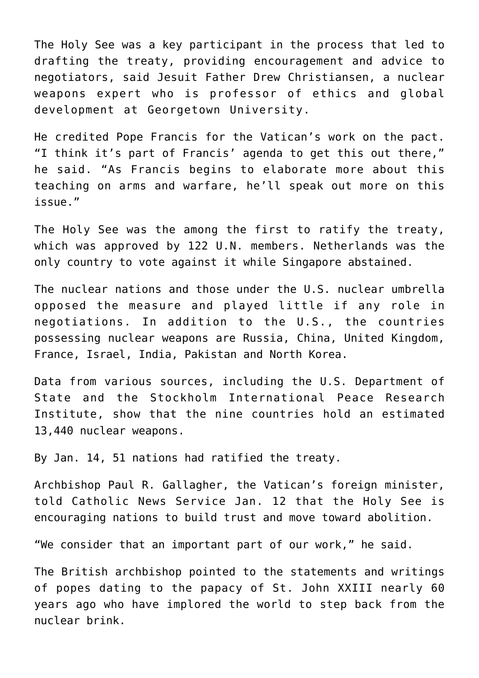The Holy See was a key participant in the process that led to drafting the treaty, providing encouragement and advice to negotiators, said Jesuit Father Drew Christiansen, a nuclear weapons expert who is professor of ethics and global development at Georgetown University.

He credited Pope Francis for the Vatican's work on the pact. "I think it's part of Francis' agenda to get this out there," he said. "As Francis begins to elaborate more about this teaching on arms and warfare, he'll speak out more on this issue."

The Holy See was the among the first to ratify the treaty, which was approved by 122 U.N. members. Netherlands was the only country to vote against it while Singapore abstained.

The nuclear nations and those under the U.S. nuclear umbrella opposed the measure and played little if any role in negotiations. In addition to the U.S., the countries possessing nuclear weapons are Russia, China, United Kingdom, France, Israel, India, Pakistan and North Korea.

Data from various sources, including the U.S. Department of State and the Stockholm International Peace Research Institute, show that the nine countries hold an estimated 13,440 nuclear weapons.

By Jan. 14, 51 nations had ratified the treaty.

Archbishop Paul R. Gallagher, the Vatican's foreign minister, told Catholic News Service Jan. 12 that the Holy See is encouraging nations to build trust and move toward abolition.

"We consider that an important part of our work," he said.

The British archbishop pointed to the statements and writings of popes dating to the papacy of St. John XXIII nearly 60 years ago who have implored the world to step back from the nuclear brink.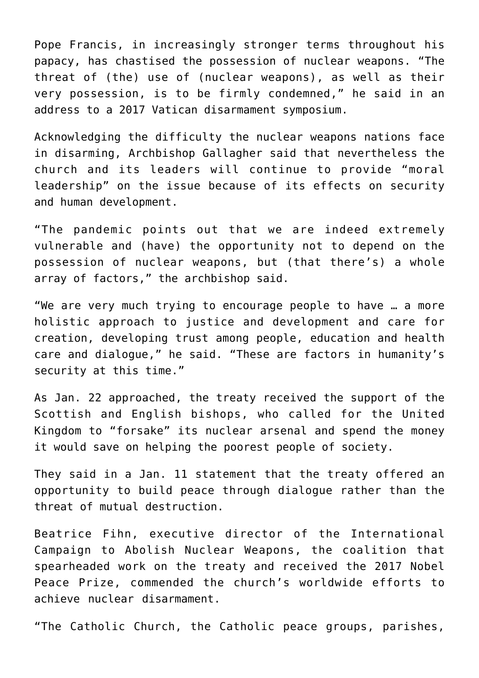Pope Francis, in increasingly stronger terms throughout his papacy, has chastised the possession of nuclear weapons. "The threat of (the) use of (nuclear weapons), as well as their very possession, is to be firmly condemned," he said in an address to a 2017 Vatican disarmament symposium.

Acknowledging the difficulty the nuclear weapons nations face in disarming, Archbishop Gallagher said that nevertheless the church and its leaders will continue to provide "moral leadership" on the issue because of its effects on security and human development.

"The pandemic points out that we are indeed extremely vulnerable and (have) the opportunity not to depend on the possession of nuclear weapons, but (that there's) a whole array of factors," the archbishop said.

"We are very much trying to encourage people to have … a more holistic approach to justice and development and care for creation, developing trust among people, education and health care and dialogue," he said. "These are factors in humanity's security at this time."

As Jan. 22 approached, the treaty received the support of the Scottish and English bishops, who called for the United Kingdom to "forsake" its nuclear arsenal and spend the money it would save on helping the poorest people of society.

They said in a Jan. 11 statement that the treaty offered an opportunity to build peace through dialogue rather than the threat of mutual destruction.

Beatrice Fihn, executive director of the International Campaign to Abolish Nuclear Weapons, the coalition that spearheaded work on the treaty and received the 2017 Nobel Peace Prize, commended the church's worldwide efforts to achieve nuclear disarmament.

"The Catholic Church, the Catholic peace groups, parishes,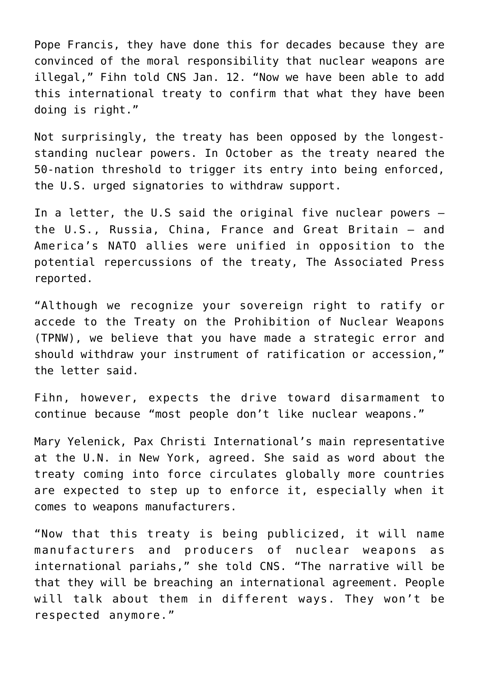Pope Francis, they have done this for decades because they are convinced of the moral responsibility that nuclear weapons are illegal," Fihn told CNS Jan. 12. "Now we have been able to add this international treaty to confirm that what they have been doing is right."

Not surprisingly, the treaty has been opposed by the longeststanding nuclear powers. In October as the treaty neared the 50-nation threshold to trigger its entry into being enforced, the U.S. urged signatories to withdraw support.

In a letter, the U.S said the original five nuclear powers the U.S., Russia, China, France and Great Britain — and America's NATO allies were unified in opposition to the potential repercussions of the treaty, The Associated Press reported.

"Although we recognize your sovereign right to ratify or accede to the Treaty on the Prohibition of Nuclear Weapons (TPNW), we believe that you have made a strategic error and should withdraw your instrument of ratification or accession," the letter said.

Fihn, however, expects the drive toward disarmament to continue because "most people don't like nuclear weapons."

Mary Yelenick, Pax Christi International's main representative at the U.N. in New York, agreed. She said as word about the treaty coming into force circulates globally more countries are expected to step up to enforce it, especially when it comes to weapons manufacturers.

"Now that this treaty is being publicized, it will name manufacturers and producers of nuclear weapons as international pariahs," she told CNS. "The narrative will be that they will be breaching an international agreement. People will talk about them in different ways. They won't be respected anymore."